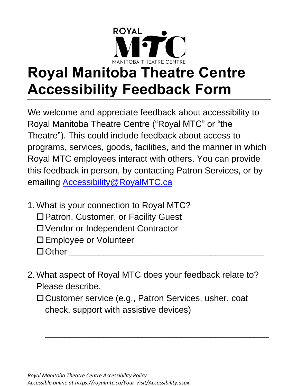

## **Royal Manitoba Theatre Centre Accessibility Feedback Form**

We welcome and appreciate feedback about accessibility to Royal Manitoba Theatre Centre ("Royal MTC" or "the Theatre"). This could include feedback about access to programs, services, goods, facilities, and the manner in which Royal MTC employees interact with others. You can provide this feedback in person, by contacting Patron Services, or by emailing [Accessibility@RoyalMTC.ca](mailto:Accessibility@RoyalMTC.ca)

- 1. What is your connection to Royal MTC?
	- □ Patron, Customer, or Facility Guest
	- Vendor or Independent Contractor
	- Employee or Volunteer
	- $\Box$  Other
- 2. What aspect of Royal MTC does your feedback relate to? Please describe.
	- □ Customer service (e.g., Patron Services, usher, coat check, support with assistive devices)

\_\_\_\_\_\_\_\_\_\_\_\_\_\_\_\_\_\_\_\_\_\_\_\_\_\_\_\_\_\_\_\_\_\_\_\_\_\_\_\_\_\_\_\_\_\_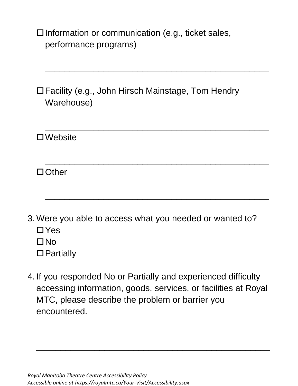$\square$  Information or communication (e.g., ticket sales, performance programs)

Facility (e.g., John Hirsch Mainstage, Tom Hendry Warehouse)

\_\_\_\_\_\_\_\_\_\_\_\_\_\_\_\_\_\_\_\_\_\_\_\_\_\_\_\_\_\_\_\_\_\_\_\_\_\_\_\_\_\_\_\_\_\_

\_\_\_\_\_\_\_\_\_\_\_\_\_\_\_\_\_\_\_\_\_\_\_\_\_\_\_\_\_\_\_\_\_\_\_\_\_\_\_\_\_\_\_\_\_\_

\_\_\_\_\_\_\_\_\_\_\_\_\_\_\_\_\_\_\_\_\_\_\_\_\_\_\_\_\_\_\_\_\_\_\_\_\_\_\_\_\_\_\_\_\_\_

\_\_\_\_\_\_\_\_\_\_\_\_\_\_\_\_\_\_\_\_\_\_\_\_\_\_\_\_\_\_\_\_\_\_\_\_\_\_\_\_\_\_\_\_\_\_

Website

□ Other

- 3. Were you able to access what you needed or wanted to?  $\Box$  Yes  $\Box$ No
	- □ Partially
- 4. If you responded No or Partially and experienced difficulty accessing information, goods, services, or facilities at Royal MTC, please describe the problem or barrier you encountered.

\_\_\_\_\_\_\_\_\_\_\_\_\_\_\_\_\_\_\_\_\_\_\_\_\_\_\_\_\_\_\_\_\_\_\_\_\_\_\_\_\_\_\_\_\_\_\_\_